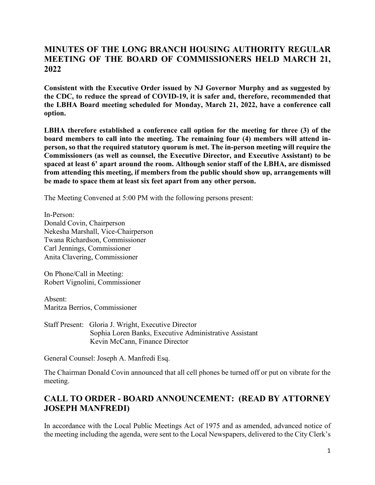# **MINUTES OF THE LONG BRANCH HOUSING AUTHORITY REGULAR MEETING OF THE BOARD OF COMMISSIONERS HELD MARCH 21, 2022**

**Consistent with the Executive Order issued by NJ Governor Murphy and as suggested by the CDC, to reduce the spread of COVID-19, it is safer and, therefore, recommended that the LBHA Board meeting scheduled for Monday, March 21, 2022, have a conference call option.**

**LBHA therefore established a conference call option for the meeting for three (3) of the board members to call into the meeting. The remaining four (4) members will attend inperson, so that the required statutory quorum is met. The in-person meeting will require the Commissioners (as well as counsel, the Executive Director, and Executive Assistant) to be spaced at least 6' apart around the room. Although senior staff of the LBHA, are dismissed from attending this meeting, if members from the public should show up, arrangements will be made to space them at least six feet apart from any other person.**

The Meeting Convened at 5:00 PM with the following persons present:

In-Person: Donald Covin, Chairperson Nekesha Marshall, Vice-Chairperson Twana Richardson, Commissioner Carl Jennings, Commissioner Anita Clavering, Commissioner

On Phone/Call in Meeting: Robert Vignolini, Commissioner

Absent: Maritza Berrios, Commissioner

Staff Present: Gloria J. Wright, Executive Director Sophia Loren Banks, Executive Administrative Assistant Kevin McCann, Finance Director

General Counsel: Joseph A. Manfredi Esq.

The Chairman Donald Covin announced that all cell phones be turned off or put on vibrate for the meeting.

# **CALL TO ORDER - BOARD ANNOUNCEMENT: (READ BY ATTORNEY JOSEPH MANFREDI)**

In accordance with the Local Public Meetings Act of 1975 and as amended, advanced notice of the meeting including the agenda, were sent to the Local Newspapers, delivered to the City Clerk's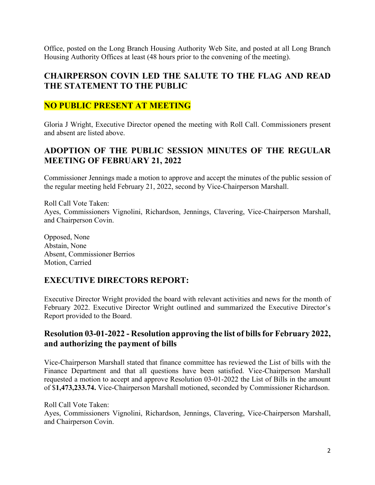Office, posted on the Long Branch Housing Authority Web Site, and posted at all Long Branch Housing Authority Offices at least (48 hours prior to the convening of the meeting).

### **CHAIRPERSON COVIN LED THE SALUTE TO THE FLAG AND READ THE STATEMENT TO THE PUBLIC**

## **NO PUBLIC PRESENT AT MEETING**

Gloria J Wright, Executive Director opened the meeting with Roll Call. Commissioners present and absent are listed above.

# **ADOPTION OF THE PUBLIC SESSION MINUTES OF THE REGULAR MEETING OF FEBRUARY 21, 2022**

Commissioner Jennings made a motion to approve and accept the minutes of the public session of the regular meeting held February 21, 2022, second by Vice-Chairperson Marshall.

Roll Call Vote Taken: Ayes, Commissioners Vignolini, Richardson, Jennings, Clavering, Vice-Chairperson Marshall, and Chairperson Covin.

Opposed, None Abstain, None Absent, Commissioner Berrios Motion, Carried

### **EXECUTIVE DIRECTORS REPORT:**

Executive Director Wright provided the board with relevant activities and news for the month of February 2022. Executive Director Wright outlined and summarized the Executive Director's Report provided to the Board.

#### **Resolution 03-01-2022 - Resolution approving the list of bills for February 2022, and authorizing the payment of bills**

Vice-Chairperson Marshall stated that finance committee has reviewed the List of bills with the Finance Department and that all questions have been satisfied. Vice-Chairperson Marshall requested a motion to accept and approve Resolution 03-01-2022 the List of Bills in the amount of \$**1,473,233.74.** Vice-Chairperson Marshall motioned, seconded by Commissioner Richardson.

Roll Call Vote Taken: Ayes, Commissioners Vignolini, Richardson, Jennings, Clavering, Vice-Chairperson Marshall, and Chairperson Covin.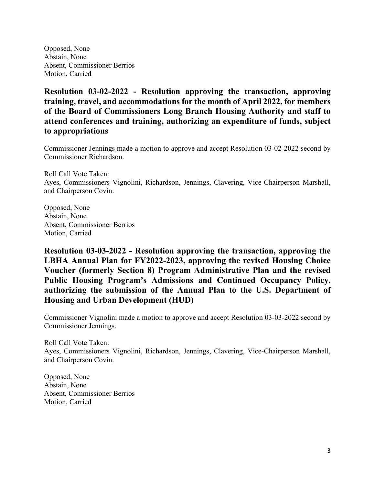Opposed, None Abstain, None Absent, Commissioner Berrios Motion, Carried

**Resolution 03-02-2022 - Resolution approving the transaction, approving training, travel, and accommodations for the month of April 2022, for members of the Board of Commissioners Long Branch Housing Authority and staff to attend conferences and training, authorizing an expenditure of funds, subject to appropriations**

Commissioner Jennings made a motion to approve and accept Resolution 03-02-2022 second by Commissioner Richardson.

Roll Call Vote Taken: Ayes, Commissioners Vignolini, Richardson, Jennings, Clavering, Vice-Chairperson Marshall, and Chairperson Covin.

Opposed, None Abstain, None Absent, Commissioner Berrios Motion, Carried

**Resolution 03-03-2022 - Resolution approving the transaction, approving the LBHA Annual Plan for FY2022-2023, approving the revised Housing Choice Voucher (formerly Section 8) Program Administrative Plan and the revised Public Housing Program's Admissions and Continued Occupancy Policy, authorizing the submission of the Annual Plan to the U.S. Department of Housing and Urban Development (HUD)**

Commissioner Vignolini made a motion to approve and accept Resolution 03-03-2022 second by Commissioner Jennings.

Roll Call Vote Taken: Ayes, Commissioners Vignolini, Richardson, Jennings, Clavering, Vice-Chairperson Marshall, and Chairperson Covin.

Opposed, None Abstain, None Absent, Commissioner Berrios Motion, Carried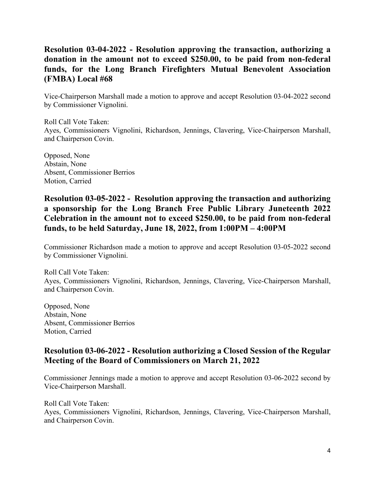# **Resolution 03-04-2022 - Resolution approving the transaction, authorizing a donation in the amount not to exceed \$250.00, to be paid from non-federal funds, for the Long Branch Firefighters Mutual Benevolent Association (FMBA) Local #68**

Vice-Chairperson Marshall made a motion to approve and accept Resolution 03-04-2022 second by Commissioner Vignolini.

Roll Call Vote Taken: Ayes, Commissioners Vignolini, Richardson, Jennings, Clavering, Vice-Chairperson Marshall, and Chairperson Covin.

Opposed, None Abstain, None Absent, Commissioner Berrios Motion, Carried

## **Resolution 03-05-2022 - Resolution approving the transaction and authorizing a sponsorship for the Long Branch Free Public Library Juneteenth 2022 Celebration in the amount not to exceed \$250.00, to be paid from non-federal funds, to be held Saturday, June 18, 2022, from 1:00PM – 4:00PM**

Commissioner Richardson made a motion to approve and accept Resolution 03-05-2022 second by Commissioner Vignolini.

Roll Call Vote Taken: Ayes, Commissioners Vignolini, Richardson, Jennings, Clavering, Vice-Chairperson Marshall, and Chairperson Covin.

Opposed, None Abstain, None Absent, Commissioner Berrios Motion, Carried

### **Resolution 03-06-2022 - Resolution authorizing a Closed Session of the Regular Meeting of the Board of Commissioners on March 21, 2022**

Commissioner Jennings made a motion to approve and accept Resolution 03-06-2022 second by Vice-Chairperson Marshall.

Roll Call Vote Taken: Ayes, Commissioners Vignolini, Richardson, Jennings, Clavering, Vice-Chairperson Marshall, and Chairperson Covin.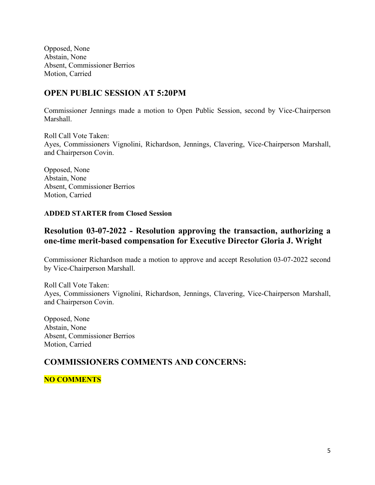Opposed, None Abstain, None Absent, Commissioner Berrios Motion, Carried

#### **OPEN PUBLIC SESSION AT 5:20PM**

Commissioner Jennings made a motion to Open Public Session, second by Vice-Chairperson Marshall.

Roll Call Vote Taken: Ayes, Commissioners Vignolini, Richardson, Jennings, Clavering, Vice-Chairperson Marshall, and Chairperson Covin.

Opposed, None Abstain, None Absent, Commissioner Berrios Motion, Carried

#### **ADDED STARTER from Closed Session**

#### **Resolution 03-07-2022 - Resolution approving the transaction, authorizing a one-time merit-based compensation for Executive Director Gloria J. Wright**

Commissioner Richardson made a motion to approve and accept Resolution 03-07-2022 second by Vice-Chairperson Marshall.

Roll Call Vote Taken: Ayes, Commissioners Vignolini, Richardson, Jennings, Clavering, Vice-Chairperson Marshall, and Chairperson Covin.

Opposed, None Abstain, None Absent, Commissioner Berrios Motion, Carried

### **COMMISSIONERS COMMENTS AND CONCERNS:**

#### **NO COMMENTS**